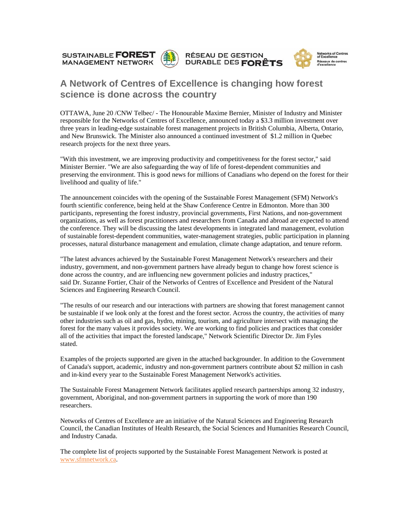SUSTAINABLE **FOREST MANAGEMENT NETWORK** 







## **A Network of Centres of Excellence is changing how forest science is done across the country**

OTTAWA, June 20 /CNW Telbec/ - The Honourable Maxime Bernier, Minister of Industry and Minister responsible for the Networks of Centres of Excellence, announced today a \$3.3 million investment over three years in leading-edge sustainable forest management projects in British Columbia, Alberta, Ontario, and New Brunswick. The Minister also announced a continued investment of \$1.2 million in Quebec research projects for the next three years.

"With this investment, we are improving productivity and competitiveness for the forest sector," said Minister Bernier. "We are also safeguarding the way of life of forest-dependent communities and preserving the environment. This is good news for millions of Canadians who depend on the forest for their livelihood and quality of life."

The announcement coincides with the opening of the Sustainable Forest Management (SFM) Network's fourth scientific conference, being held at the Shaw Conference Centre in Edmonton. More than 300 participants, representing the forest industry, provincial governments, First Nations, and non-government organizations, as well as forest practitioners and researchers from Canada and abroad are expected to attend the conference. They will be discussing the latest developments in integrated land management, evolution of sustainable forest-dependent communities, water-management strategies, public participation in planning processes, natural disturbance management and emulation, climate change adaptation, and tenure reform.

"The latest advances achieved by the Sustainable Forest Management Network's researchers and their industry, government, and non-government partners have already begun to change how forest science is done across the country, and are influencing new government policies and industry practices," said Dr. Suzanne Fortier, Chair of the Networks of Centres of Excellence and President of the Natural Sciences and Engineering Research Council.

"The results of our research and our interactions with partners are showing that forest management cannot be sustainable if we look only at the forest and the forest sector. Across the country, the activities of many other industries such as oil and gas, hydro, mining, tourism, and agriculture intersect with managing the forest for the many values it provides society. We are working to find policies and practices that consider all of the activities that impact the forested landscape," Network Scientific Director Dr. Jim Fyles stated.

Examples of the projects supported are given in the attached backgrounder. In addition to the Government of Canada's support, academic, industry and non-government partners contribute about \$2 million in cash and in-kind every year to the Sustainable Forest Management Network's activities.

The Sustainable Forest Management Network facilitates applied research partnerships among 32 industry, government, Aboriginal, and non-government partners in supporting the work of more than 190 researchers.

Networks of Centres of Excellence are an initiative of the Natural Sciences and Engineering Research Council, the Canadian Institutes of Health Research, the Social Sciences and Humanities Research Council, and Industry Canada.

The complete list of projects supported by the Sustainable Forest Management Network is posted at [www.sfmnetwork.ca](http://www.sfmnetwork.ca/).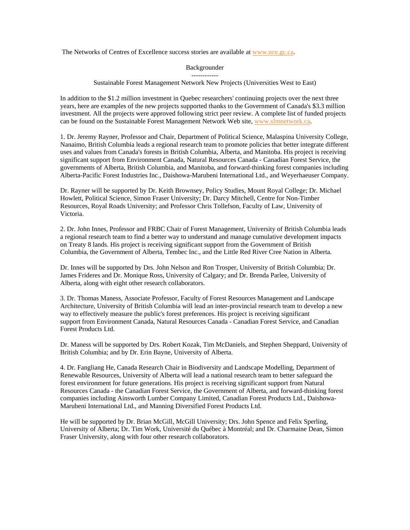The Networks of Centres of Excellence success stories are available at [www.nce.gc.ca](http://www.nce.gc.ca/).

Backgrounder ------------

Sustainable Forest Management Network New Projects (Universities West to East)

In addition to the \$1.2 million investment in Quebec researchers' continuing projects over the next three years, here are examples of the new projects supported thanks to the Government of Canada's \$3.3 million investment. All the projects were approved following strict peer review. A complete list of funded projects can be found on the Sustainable Forest Management Network Web site, [www.sfmnetwork.ca](http://www.sfmnetwork.ca/).

1. Dr. Jeremy Rayner, Professor and Chair, Department of Political Science, Malaspina University College, Nanaimo, British Columbia leads a regional research team to promote policies that better integrate different uses and values from Canada's forests in British Columbia, Alberta, and Manitoba. His project is receiving significant support from Environment Canada, Natural Resources Canada - Canadian Forest Service, the governments of Alberta, British Columbia, and Manitoba, and forward-thinking forest companies including Alberta-Pacific Forest Industries Inc., Daishowa-Marubeni International Ltd., and Weyerhaeuser Company.

Dr. Rayner will be supported by Dr. Keith Brownsey, Policy Studies, Mount Royal College; Dr. Michael Howlett, Political Science, Simon Fraser University; Dr. Darcy Mitchell, Centre for Non-Timber Resources, Royal Roads University; and Professor Chris Tollefson, Faculty of Law, University of Victoria.

2. Dr. John Innes, Professor and FRBC Chair of Forest Management, University of British Columbia leads a regional research team to find a better way to understand and manage cumulative development impacts on Treaty 8 lands. His project is receiving significant support from the Government of British Columbia, the Government of Alberta, Tembec Inc., and the Little Red River Cree Nation in Alberta.

Dr. Innes will be supported by Drs. John Nelson and Ron Trosper, University of British Columbia; Dr. James Frideres and Dr. Monique Ross, University of Calgary; and Dr. Brenda Parlee, University of Alberta, along with eight other research collaborators.

3. Dr. Thomas Maness, Associate Professor, Faculty of Forest Resources Management and Landscape Architecture, University of British Columbia will lead an inter-provincial research team to develop a new way to effectively measure the public's forest preferences. His project is receiving significant support from Environment Canada, Natural Resources Canada - Canadian Forest Service, and Canadian Forest Products Ltd.

Dr. Maness will be supported by Drs. Robert Kozak, Tim McDaniels, and Stephen Sheppard, University of British Columbia; and by Dr. Erin Bayne, University of Alberta.

4. Dr. Fangliang He, Canada Research Chair in Biodiversity and Landscape Modelling, Department of Renewable Resources, University of Alberta will lead a national research team to better safeguard the forest environment for future generations. His project is receiving significant support from Natural Resources Canada - the Canadian Forest Service, the Government of Alberta, and forward-thinking forest companies including Ainsworth Lumber Company Limited, Canadian Forest Products Ltd., Daishowa-Marubeni International Ltd., and Manning Diversified Forest Products Ltd.

He will be supported by Dr. Brian McGill, McGill University; Drs. John Spence and Felix Sperling, University of Alberta; Dr. Tim Work, Université du Québec à Montréal; and Dr. Charmaine Dean, Simon Fraser University, along with four other research collaborators.